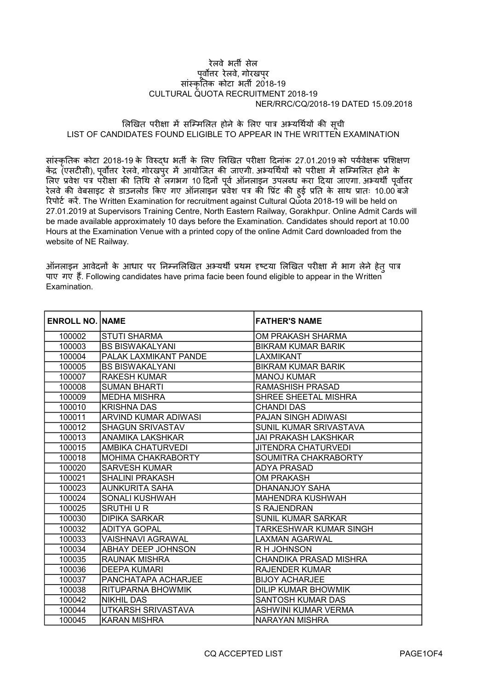## NER/RRC/CQ/2018-19 DATED 15.09.2018 रेलवे भतȸ सेल पूर्वोत्तर रेलवे, गोरखपुर सांस्कृतिक कोटा भती 2018-19 CULTURAL QUOTA RECRUITMENT 2018-19

## लिखित परीक्षा में सम्मिलित होने के लिए पात्र अभ्यर्थियों की सची LIST OF CANDIDATES FOUND ELIGIBLE TO APPEAR IN THE WRITTEN EXAMINATION

सांस्कृतिक कोटा 2018-19 के विरुद्ध भर्ती के लिए लिखित परीक्षा दिनांक 27.01.2019 को पर्यवेक्षक प्रशिक्षण केंद्र (एसटीसी), पूर्वोत्तर रेलवे, गोरखपुर में आयोजित की जाएगी. अभ्यर्थियों को परीक्षा में सम्मिलित होने के लिए प्रवेश पत्र परीक्षा की तिथि से लगभग 10 दिनों पूर्व ऑनलाइन उपलब्ध करा दिया जाएगा. अभ्यथी पूर्वोत्तर रेलवे की वेबसाइट से डाउनलोड किए गए ऑनलाइन प्रवेश पत्र की प्रिंट की हुई प्रति के साथ प्रातः 10.00 बजे रिपोर्ट करें. The Written Examination for recruitment against Cultural Quota 2018-19 will be held on 27.01.2019 at Supervisors Training Centre, North Eastern Railway, Gorakhpur. Online Admit Cards will be made available approximately 10 days before the Examination. Candidates should report at 10.00 Hours at the Examination Venue with a printed copy of the online Admit Card downloaded from the website of NE Railway.

ऑनलाइन आवेदनों के आधार पर निम्नलिखित अभ्यर्थी प्रथम दृष्टया लिखित परीक्षा में भाग लेने हेतु पात्र पाए गए हैं. Following candidates have prima facie been found eligible to appear in the Written Examination.

| <b>ENROLL NO. INAME</b> |                           | <b>FATHER'S NAME</b>       |
|-------------------------|---------------------------|----------------------------|
| 100002                  | <b>STUTI SHARMA</b>       | OM PRAKASH SHARMA          |
| 100003                  | <b>BS BISWAKALYANI</b>    | <b>BIKRAM KUMAR BARIK</b>  |
| 100004                  | PALAK LAXMIKANT PANDE     | LAXMIKANT                  |
| 100005                  | <b>BS BISWAKALYANI</b>    | <b>BIKRAM KUMAR BARIK</b>  |
| 100007                  | <b>RAKESH KUMAR</b>       | <b>MANOJ KUMAR</b>         |
| 100008                  | <b>SUMAN BHARTI</b>       | <b>RAMASHISH PRASAD</b>    |
| 100009                  | <b>MEDHA MISHRA</b>       | SHREE SHEETAL MISHRA       |
| 100010                  | <b>KRISHNA DAS</b>        | <b>CHANDI DAS</b>          |
| 100011                  | ARVIND KUMAR ADIWASI      | <b>PAJAN SINGH ADIWASI</b> |
| 100012                  | <b>SHAGUN SRIVASTAV</b>   | SUNIL KUMAR SRIVASTAVA     |
| 100013                  | ANAMIKA LAKSHKAR          | JAI PRAKASH LAKSHKAR       |
| 100015                  | AMBIKA CHATURVEDI         | <b>JITENDRA CHATURVEDI</b> |
| 100018                  | <b>MOHIMA CHAKRABORTY</b> | SOUMITRA CHAKRABORTY       |
| 100020                  | <b>SARVESH KUMAR</b>      | <b>ADYA PRASAD</b>         |
| 100021                  | <b>SHALINI PRAKASH</b>    | <b>OM PRAKASH</b>          |
| 100023                  | AUNKURITA SAHA            | DHANANJOY SAHA             |
| 100024                  | SONALI KUSHWAH            | <b>MAHENDRA KUSHWAH</b>    |
| 100025                  | <b>SRUTHI U R</b>         | S RAJENDRAN                |
| 100030                  | <b>DIPIKA SARKAR</b>      | <b>SUNIL KUMAR SARKAR</b>  |
| 100032                  | <b>ADITYA GOPAL</b>       | TARKESHWAR KUMAR SINGH     |
| 100033                  | VAISHNAVI AGRAWAL         | LAXMAN AGARWAL             |
| 100034                  | ABHAY DEEP JOHNSON        | R H JOHNSON                |
| 100035                  | <b>RAUNAK MISHRA</b>      | CHANDIKA PRASAD MISHRA     |
| 100036                  | <b>DEEPA KUMARI</b>       | <b>RAJENDER KUMAR</b>      |
| 100037                  | PANCHATAPA ACHARJEE       | <b>BIJOY ACHARJEE</b>      |
| 100038                  | RITUPARNA BHOWMIK         | DILIP KUMAR BHOWMIK        |
| 100042                  | <b>NIKHIL DAS</b>         | SANTOSH KUMAR DAS          |
| 100044                  | UTKARSH SRIVASTAVA        | ASHWINI KUMAR VERMA        |
| 100045                  | KARAN MISHRA              | NARAYAN MISHRA             |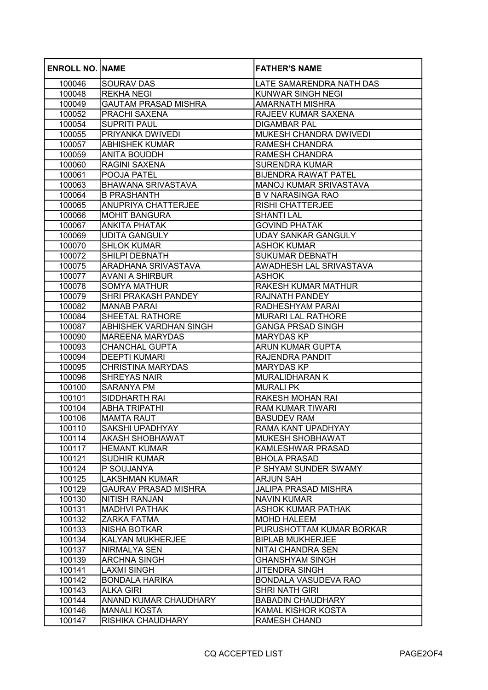| <b>ENROLL NO. NAME</b> |                               | <b>FATHER'S NAME</b>          |
|------------------------|-------------------------------|-------------------------------|
| 100046                 | <b>SOURAV DAS</b>             | LATE SAMARENDRA NATH DAS      |
| 100048                 | <b>REKHA NEGI</b>             | <b>KUNWAR SINGH NEGI</b>      |
| 100049                 | <b>GAUTAM PRASAD MISHRA</b>   | <b>AMARNATH MISHRA</b>        |
| 100052                 | <b>PRACHI SAXENA</b>          | RAJEEV KUMAR SAXENA           |
| 100054                 | <b>SUPRITI PAUL</b>           | <b>DIGAMBAR PAL</b>           |
| 100055                 | PRIYANKA DWIVEDI              | MUKESH CHANDRA DWIVEDI        |
| 100057                 | <b>ABHISHEK KUMAR</b>         | RAMESH CHANDRA                |
| 100059                 | <b>ANITA BOUDDH</b>           | <b>RAMESH CHANDRA</b>         |
| 100060                 | RAGINI SAXENA                 | <b>SURENDRA KUMAR</b>         |
| 100061                 | POOJA PATEL                   | <b>BIJENDRA RAWAT PATEL</b>   |
| 100063                 | <b>BHAWANA SRIVASTAVA</b>     | <b>MANOJ KUMAR SRIVASTAVA</b> |
| 100064                 | <b>B PRASHANTH</b>            | <b>B V NARASINGA RAO</b>      |
| 100065                 | <b>ANUPRIYA CHATTERJEE</b>    | <b>RISHI CHATTERJEE</b>       |
| 100066                 | MOHIT BANGURA                 | <b>SHANTI LAL</b>             |
| 100067                 | ANKITA PHATAK                 | <b>GOVIND PHATAK</b>          |
| 100069                 | UDITA GANGULY                 | <b>UDAY SANKAR GANGULY</b>    |
| 100070                 | <b>SHLOK KUMAR</b>            | <b>ASHOK KUMAR</b>            |
| 100072                 | SHILPI DEBNATH                | SUKUMAR DEBNATH               |
| 100075                 | ARADHANA SRIVASTAVA           | AWADHESH LAL SRIVASTAVA       |
| 100077                 | <b>AVANI A SHIRBUR</b>        | <b>ASHOK</b>                  |
| 100078                 | <b>SOMYA MATHUR</b>           | RAKESH KUMAR MATHUR           |
| 100079                 | <b>SHRI PRAKASH PANDEY</b>    | RAJNATH PANDEY                |
| 100082                 | <b>MANAB PARAI</b>            | RADHESHYAM PARAI              |
| 100084                 | SHEETAL RATHORE               | <b>MURARI LAL RATHORE</b>     |
| 100087                 | <b>ABHISHEK VARDHAN SINGH</b> | <b>GANGA PRSAD SINGH</b>      |
| 100090                 | <b>MAREENA MARYDAS</b>        | <b>MARYDAS KP</b>             |
| 100093                 | <b>CHANCHAL GUPTA</b>         | <b>ARUN KUMAR GUPTA</b>       |
| 100094                 | <b>DEEPTI KUMARI</b>          | RAJENDRA PANDIT               |
| 100095                 | <b>CHRISTINA MARYDAS</b>      | <b>MARYDAS KP</b>             |
| 100096                 | <b>SHREYAS NAIR</b>           | <b>MURALIDHARAN K</b>         |
| 100100                 | <b>SARANYA PM</b>             | <b>MURALI PK</b>              |
| 100101                 | <b>SIDDHARTH RAI</b>          | RAKESH MOHAN RAI              |
| 100104                 | IABHA TRIPATHI                | <b>RAM KUMAR TIWARI</b>       |
| 100106                 | <b>MAMTA RAUT</b>             | <b>BASUDEV RAM</b>            |
| 100110                 | SAKSHI UPADHYAY               | RAMA KANT UPADHYAY            |
| 100114                 | <b>AKASH SHOBHAWAT</b>        | <b>MUKESH SHOBHAWAT</b>       |
| 100117                 | <b>HEMANT KUMAR</b>           | <b>KAMLESHWAR PRASAD</b>      |
| 100121                 | <b>SUDHIR KUMAR</b>           | <b>BHOLA PRASAD</b>           |
| 100124                 | P SOUJANYA                    | P SHYAM SUNDER SWAMY          |
| 100125                 | <b>LAKSHMAN KUMAR</b>         | <b>ARJUN SAH</b>              |
| 100129                 | <b>GAURAV PRASAD MISHRA</b>   | JALIPA PRASAD MISHRA          |
| 100130                 | <b>NITISH RANJAN</b>          | <b>NAVIN KUMAR</b>            |
| 100131                 | <b>MADHVI PATHAK</b>          | <b>ASHOK KUMAR PATHAK</b>     |
| 100132                 | <b>ZARKA FATMA</b>            | <b>MOHD HALEEM</b>            |
| 100133                 | NISHA BOTKAR                  | PURUSHOTTAM KUMAR BORKAR      |
| 100134                 | KALYAN MUKHERJEE              | <b>BIPLAB MUKHERJEE</b>       |
| 100137                 | NIRMALYA SEN                  | NITAI CHANDRA SEN             |
| 100139                 | <b>ARCHNA SINGH</b>           | <b>GHANSHYAM SINGH</b>        |
| 100141                 | <b>LAXMI SINGH</b>            | <b>JITENDRA SINGH</b>         |
| 100142                 | <b>BONDALA HARIKA</b>         | BONDALA VASUDEVA RAO          |
| 100143                 | <b>ALKA GIRI</b>              | <b>SHRI NATH GIRI</b>         |
| 100144                 | <b>ANAND KUMAR CHAUDHARY</b>  | <b>BABADIN CHAUDHARY</b>      |
| 100146                 | <b>MANALI KOSTA</b>           | <b>KAMAL KISHOR KOSTA</b>     |
| 100147                 | RISHIKA CHAUDHARY             | RAMESH CHAND                  |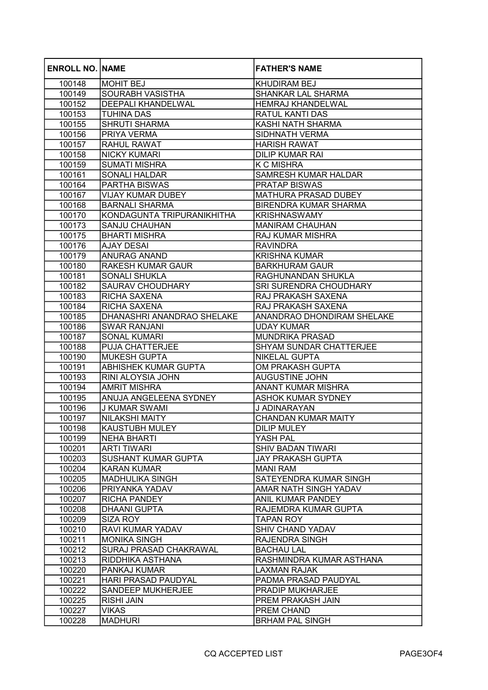| <b>ENROLL NO. NAME</b> |                               | <b>FATHER'S NAME</b>           |
|------------------------|-------------------------------|--------------------------------|
| 100148                 | MOHIT BEJ                     | <b>KHUDIRAM BEJ</b>            |
| 100149                 | <b>SOURABH VASISTHA</b>       | <b>SHANKAR LAL SHARMA</b>      |
| 100152                 | <b>DEEPALI KHANDELWAL</b>     | <b>HEMRAJ KHANDELWAL</b>       |
| 100153                 | <b>TUHINA DAS</b>             | <b>RATUL KANTI DAS</b>         |
| 100155                 | <b>SHRUTI SHARMA</b>          | <b>KASHI NATH SHARMA</b>       |
| 100156                 | <b>PRIYA VERMA</b>            | <b>SIDHNATH VERMA</b>          |
| 100157                 | <b>RAHUL RAWAT</b>            | <b>HARISH RAWAT</b>            |
| 100158                 | <b>NICKY KUMARI</b>           | <b>DILIP KUMAR RAI</b>         |
| 100159                 | <b>SUMATI MISHRA</b>          | <b>K C MISHRA</b>              |
| 100161                 | <b>SONALI HALDAR</b>          | <b>SAMRESH KUMAR HALDAR</b>    |
| 100164                 | <b>PARTHA BISWAS</b>          | <b>PRATAP BISWAS</b>           |
| 100167                 | <b>VIJAY KUMAR DUBEY</b>      | <b>MATHURA PRASAD DUBEY</b>    |
| 100168                 | <b>BARNALI SHARMA</b>         | <b>BIRENDRA KUMAR SHARMA</b>   |
| 100170                 | KONDAGUNTA TRIPURANIKHITHA    | <b>KRISHNASWAMY</b>            |
| 100173                 | <b>SANJU CHAUHAN</b>          | <b>MANIRAM CHAUHAN</b>         |
| 100175                 | <b>BHARTI MISHRA</b>          | <b>RAJ KUMAR MISHRA</b>        |
| 100176                 | <b>AJAY DESAI</b>             | <b>RAVINDRA</b>                |
| 100179                 | ANURAG ANAND                  | <b>KRISHNA KUMAR</b>           |
| 100180                 | <b>RAKESH KUMAR GAUR</b>      | <b>BARKHURAM GAUR</b>          |
| 100181                 | <b>SONALI SHUKLA</b>          | RAGHUNANDAN SHUKLA             |
| 100182                 | <b>SAURAV CHOUDHARY</b>       | SRI SURENDRA CHOUDHARY         |
| 100183                 | <b>RICHA SAXENA</b>           | RAJ PRAKASH SAXENA             |
| 100184                 | <b>RICHA SAXENA</b>           | RAJ PRAKASH SAXENA             |
| 100185                 | DHANASHRI ANANDRAO SHELAKE    | ANANDRAO DHONDIRAM SHELAKE     |
| 100186                 | <b>SWAR RANJANI</b>           | <b>UDAY KUMAR</b>              |
| 100187                 | <b>SONAL KUMARI</b>           | <b>MUNDRIKA PRASAD</b>         |
| 100188                 | <b>PUJA CHATTERJEE</b>        | <b>SHYAM SUNDAR CHATTERJEE</b> |
| 100190                 | MUKESH GUPTA                  | <b>NIKELAL GUPTA</b>           |
| 100191                 | ABHISHEK KUMAR GUPTA          | OM PRAKASH GUPTA               |
| 100193                 | RINI ALOYSIA JOHN             | <b>AUGUSTINE JOHN</b>          |
| 100194                 | AMRIT MISHRA                  | <b>ANANT KUMAR MISHRA</b>      |
| 100195                 | ANUJA ANGELEENA SYDNEY        | <b>ASHOK KUMAR SYDNEY</b>      |
| 100196                 | <b>J KUMAR SWAMI</b>          | J ADINARAYAN                   |
| 100197                 | NILAKSHI MAITY                | <b>CHANDAN KUMAR MAITY</b>     |
| 100198                 | <b>KAUSTUBH MULEY</b>         | <b>DILIP MULEY</b>             |
| 100199                 | NEHA BHARTI                   | YASH PAL                       |
| 100201                 | <b>ARTI TIWARI</b>            | <b>SHIV BADAN TIWARI</b>       |
| 100203                 | <b>SUSHANT KUMAR GUPTA</b>    | <b>JAY PRAKASH GUPTA</b>       |
| 100204                 | <b>KARAN KUMAR</b>            | <b>MANI RAM</b>                |
| 100205                 | <b>MADHULIKA SINGH</b>        | SATEYENDRA KUMAR SINGH         |
| 100206                 | PRIYANKA YADAV                | AMAR NATH SINGH YADAV          |
| 100207                 | <b>RICHA PANDEY</b>           | ANIL KUMAR PANDEY              |
| 100208                 | <b>DHAANI GUPTA</b>           | RAJEMDRA KUMAR GUPTA           |
| 100209                 | <b>SIZA ROY</b>               | <b>TAPAN ROY</b>               |
| 100210                 | <b>RAVI KUMAR YADAV</b>       | <b>SHIV CHAND YADAV</b>        |
| 100211                 | <b>MONIKA SINGH</b>           | <b>RAJENDRA SINGH</b>          |
| 100212                 | <b>SURAJ PRASAD CHAKRAWAL</b> | <b>BACHAU LAL</b>              |
| 100213                 | RIDDHIKA ASTHANA              | RASHMINDRA KUMAR ASTHANA       |
| 100220                 | PANKAJ KUMAR                  | <b>LAXMAN RAJAK</b>            |
| 100221                 | <b>HARI PRASAD PAUDYAL</b>    | PADMA PRASAD PAUDYAL           |
| 100222                 | <b>SANDEEP MUKHERJEE</b>      | <b>PRADIP MUKHARJEE</b>        |
| 100225                 | <b>RISHI JAIN</b>             | PREM PRAKASH JAIN              |
| 100227                 | <b>VIKAS</b>                  | <b>PREM CHAND</b>              |
| 100228                 | <b>MADHURI</b>                | <b>BRHAM PAL SINGH</b>         |